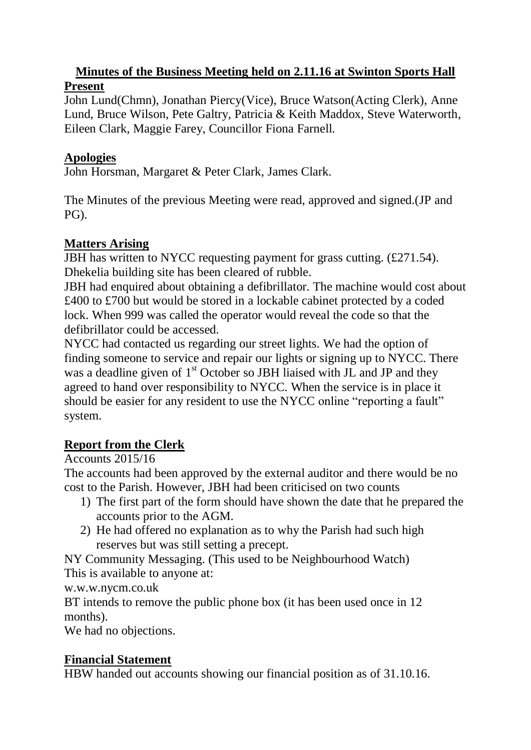### **Minutes of the Business Meeting held on 2.11.16 at Swinton Sports Hall Present**

John Lund(Chmn), Jonathan Piercy(Vice), Bruce Watson(Acting Clerk), Anne Lund, Bruce Wilson, Pete Galtry, Patricia & Keith Maddox, Steve Waterworth, Eileen Clark, Maggie Farey, Councillor Fiona Farnell.

### **Apologies**

John Horsman, Margaret & Peter Clark, James Clark.

The Minutes of the previous Meeting were read, approved and signed.(JP and PG).

# **Matters Arising**

JBH has written to NYCC requesting payment for grass cutting. (£271.54). Dhekelia building site has been cleared of rubble.

JBH had enquired about obtaining a defibrillator. The machine would cost about £400 to £700 but would be stored in a lockable cabinet protected by a coded lock. When 999 was called the operator would reveal the code so that the defibrillator could be accessed.

NYCC had contacted us regarding our street lights. We had the option of finding someone to service and repair our lights or signing up to NYCC. There was a deadline given of 1<sup>st</sup> October so JBH liaised with JL and JP and they agreed to hand over responsibility to NYCC. When the service is in place it should be easier for any resident to use the NYCC online "reporting a fault" system.

## **Report from the Clerk**

Accounts 2015/16

The accounts had been approved by the external auditor and there would be no cost to the Parish. However, JBH had been criticised on two counts

- 1) The first part of the form should have shown the date that he prepared the accounts prior to the AGM.
- 2) He had offered no explanation as to why the Parish had such high reserves but was still setting a precept.

NY Community Messaging. (This used to be Neighbourhood Watch) This is available to anyone at:

w.w.w.nycm.co.uk

BT intends to remove the public phone box (it has been used once in 12 months).

We had no objections.

## **Financial Statement**

HBW handed out accounts showing our financial position as of 31.10.16.